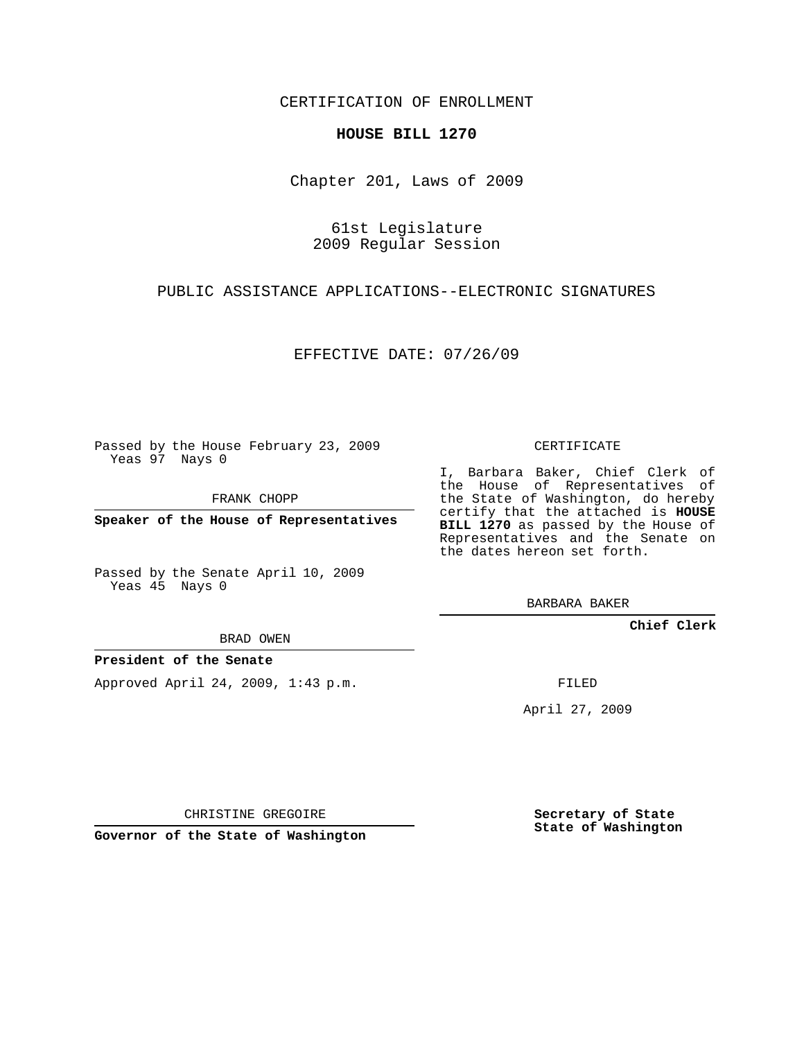#### CERTIFICATION OF ENROLLMENT

#### **HOUSE BILL 1270**

Chapter 201, Laws of 2009

# 61st Legislature 2009 Regular Session

### PUBLIC ASSISTANCE APPLICATIONS--ELECTRONIC SIGNATURES

# EFFECTIVE DATE: 07/26/09

Passed by the House February 23, 2009 Yeas 97 Nays 0

FRANK CHOPP

**Speaker of the House of Representatives**

Passed by the Senate April 10, 2009 Yeas 45 Nays 0

# I, Barbara Baker, Chief Clerk of

the House of Representatives of the State of Washington, do hereby certify that the attached is **HOUSE BILL 1270** as passed by the House of Representatives and the Senate on the dates hereon set forth.

CERTIFICATE

BARBARA BAKER

#### **Chief Clerk**

BRAD OWEN

#### **President of the Senate**

Approved April 24, 2009, 1:43 p.m.

FILED

April 27, 2009

CHRISTINE GREGOIRE

**Governor of the State of Washington**

**Secretary of State State of Washington**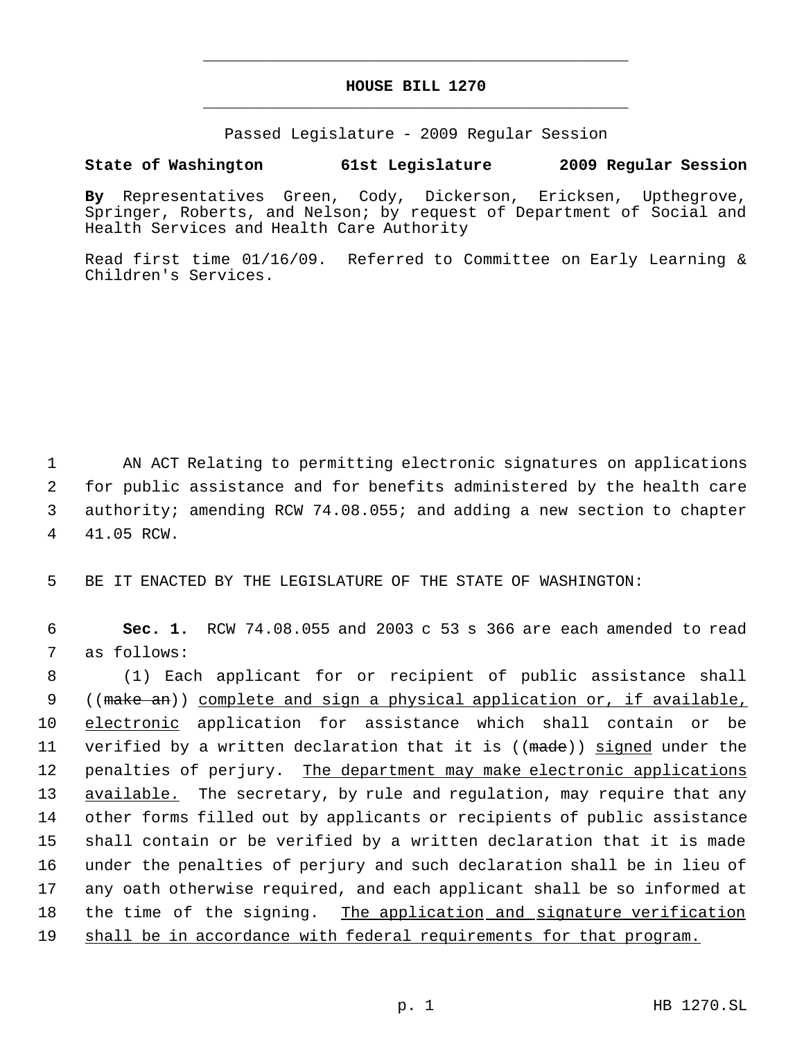# **HOUSE BILL 1270** \_\_\_\_\_\_\_\_\_\_\_\_\_\_\_\_\_\_\_\_\_\_\_\_\_\_\_\_\_\_\_\_\_\_\_\_\_\_\_\_\_\_\_\_\_

\_\_\_\_\_\_\_\_\_\_\_\_\_\_\_\_\_\_\_\_\_\_\_\_\_\_\_\_\_\_\_\_\_\_\_\_\_\_\_\_\_\_\_\_\_

Passed Legislature - 2009 Regular Session

# **State of Washington 61st Legislature 2009 Regular Session**

**By** Representatives Green, Cody, Dickerson, Ericksen, Upthegrove, Springer, Roberts, and Nelson; by request of Department of Social and Health Services and Health Care Authority

Read first time 01/16/09. Referred to Committee on Early Learning & Children's Services.

 AN ACT Relating to permitting electronic signatures on applications for public assistance and for benefits administered by the health care authority; amending RCW 74.08.055; and adding a new section to chapter 41.05 RCW.

5 BE IT ENACTED BY THE LEGISLATURE OF THE STATE OF WASHINGTON:

 6 **Sec. 1.** RCW 74.08.055 and 2003 c 53 s 366 are each amended to read 7 as follows:

 8 (1) Each applicant for or recipient of public assistance shall 9 ((make an)) complete and sign a physical application or, if available, 10 electronic application for assistance which shall contain or be 11 verified by a written declaration that it is ((made)) signed under the 12 penalties of perjury. The department may make electronic applications 13 available. The secretary, by rule and regulation, may require that any 14 other forms filled out by applicants or recipients of public assistance 15 shall contain or be verified by a written declaration that it is made 16 under the penalties of perjury and such declaration shall be in lieu of 17 any oath otherwise required, and each applicant shall be so informed at 18 the time of the signing. The application and signature verification 19 shall be in accordance with federal requirements for that program.